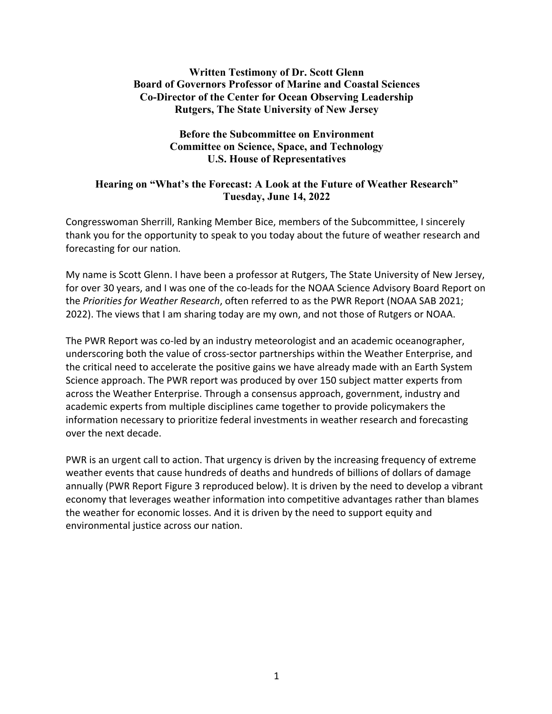## **Written Testimony of Dr. Scott Glenn Board of Governors Professor of Marine and Coastal Sciences Co-Director of the Center for Ocean Observing Leadership Rutgers, The State University of New Jersey**

## **Before the Subcommittee on Environment Committee on Science, Space, and Technology U.S. House of Representatives**

## **Hearing on "What's the Forecast: A Look at the Future of Weather Research" Tuesday, June 14, 2022**

Congresswoman Sherrill, Ranking Member Bice, members of the Subcommittee, I sincerely thank you for the opportunity to speak to you today about the future of weather research and forecasting for our nation*.*

My name is Scott Glenn. I have been a professor at Rutgers, The State University of New Jersey, for over 30 years, and I was one of the co-leads for the NOAA Science Advisory Board Report on the *Priorities for Weather Research*, often referred to as the PWR Report (NOAA SAB 2021; 2022). The views that I am sharing today are my own, and not those of Rutgers or NOAA.

The PWR Report was co-led by an industry meteorologist and an academic oceanographer, underscoring both the value of cross-sector partnerships within the Weather Enterprise, and the critical need to accelerate the positive gains we have already made with an Earth System Science approach. The PWR report was produced by over 150 subject matter experts from across the Weather Enterprise. Through a consensus approach, government, industry and academic experts from multiple disciplines came together to provide policymakers the information necessary to prioritize federal investments in weather research and forecasting over the next decade.

PWR is an urgent call to action. That urgency is driven by the increasing frequency of extreme weather events that cause hundreds of deaths and hundreds of billions of dollars of damage annually (PWR Report Figure 3 reproduced below). It is driven by the need to develop a vibrant economy that leverages weather information into competitive advantages rather than blames the weather for economic losses. And it is driven by the need to support equity and environmental justice across our nation.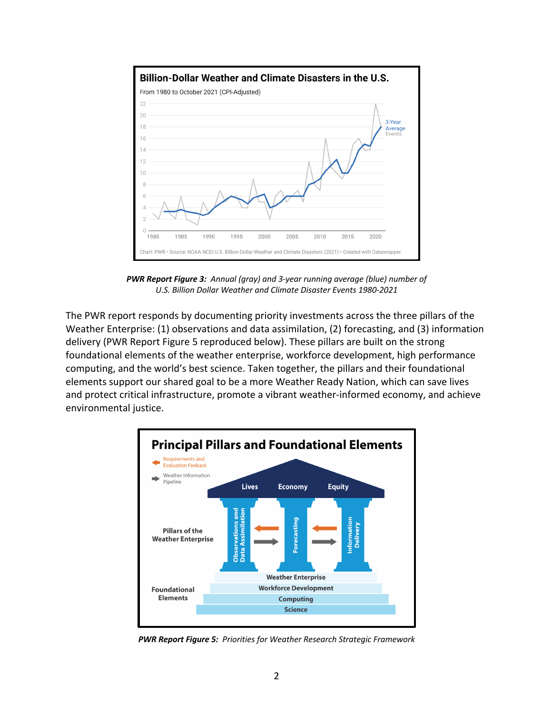

*PWR Report Figure 3: Annual (gray) and 3-year running average (blue) number of U.S. Billion Dollar Weather and Climate Disaster Events 1980-2021*

The PWR report responds by documenting priority investments across the three pillars of the Weather Enterprise: (1) observations and data assimilation, (2) forecasting, and (3) information delivery (PWR Report Figure 5 reproduced below). These pillars are built on the strong foundational elements of the weather enterprise, workforce development, high performance computing, and the world's best science. Taken together, the pillars and their foundational elements support our shared goal to be a more Weather Ready Nation, which can save lives and protect critical infrastructure, promote a vibrant weather-informed economy, and achieve environmental justice.



*PWR Report Figure 5: Priorities for Weather Research Strategic Framework*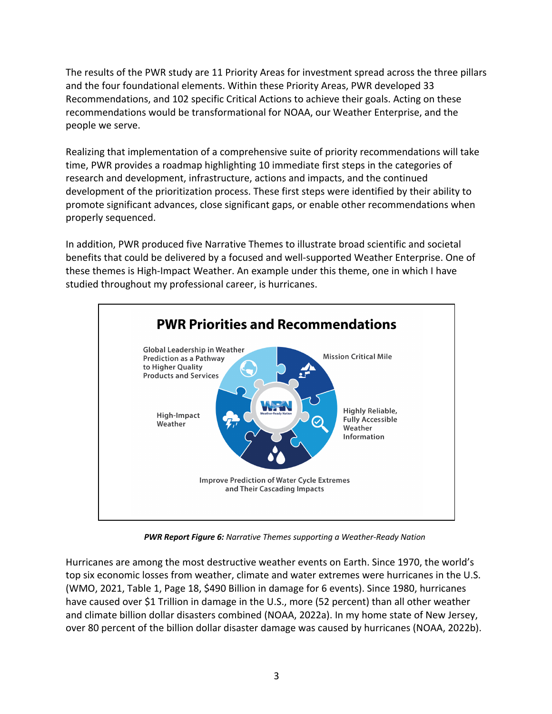The results of the PWR study are 11 Priority Areas for investment spread across the three pillars and the four foundational elements. Within these Priority Areas, PWR developed 33 Recommendations, and 102 specific Critical Actions to achieve their goals. Acting on these recommendations would be transformational for NOAA, our Weather Enterprise, and the people we serve.

Realizing that implementation of a comprehensive suite of priority recommendations will take time, PWR provides a roadmap highlighting 10 immediate first steps in the categories of research and development, infrastructure, actions and impacts, and the continued development of the prioritization process. These first steps were identified by their ability to promote significant advances, close significant gaps, or enable other recommendations when properly sequenced.

In addition, PWR produced five Narrative Themes to illustrate broad scientific and societal benefits that could be delivered by a focused and well-supported Weather Enterprise. One of these themes is High-Impact Weather. An example under this theme, one in which I have studied throughout my professional career, is hurricanes.



*PWR Report Figure 6: Narrative Themes supporting a Weather-Ready Nation*

Hurricanes are among the most destructive weather events on Earth. Since 1970, the world's top six economic losses from weather, climate and water extremes were hurricanes in the U.S. (WMO, 2021, Table 1, Page 18, \$490 Billion in damage for 6 events). Since 1980, hurricanes have caused over \$1 Trillion in damage in the U.S., more (52 percent) than all other weather and climate billion dollar disasters combined (NOAA, 2022a). In my home state of New Jersey, over 80 percent of the billion dollar disaster damage was caused by hurricanes (NOAA, 2022b).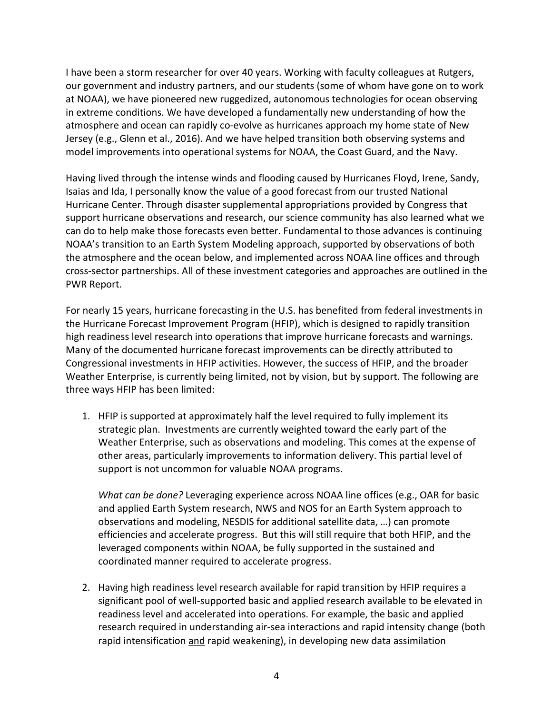I have been a storm researcher for over 40 years. Working with faculty colleagues at Rutgers, our government and industry partners, and our students (some of whom have gone on to work at NOAA), we have pioneered new ruggedized, autonomous technologies for ocean observing in extreme conditions. We have developed a fundamentally new understanding of how the atmosphere and ocean can rapidly co-evolve as hurricanes approach my home state of New Jersey (e.g., Glenn et al., 2016). And we have helped transition both observing systems and model improvements into operational systems for NOAA, the Coast Guard, and the Navy.

Having lived through the intense winds and flooding caused by Hurricanes Floyd, Irene, Sandy, Isaias and Ida, I personally know the value of a good forecast from our trusted National Hurricane Center. Through disaster supplemental appropriations provided by Congress that support hurricane observations and research, our science community has also learned what we can do to help make those forecasts even better. Fundamental to those advances is continuing NOAA's transition to an Earth System Modeling approach, supported by observations of both the atmosphere and the ocean below, and implemented across NOAA line offices and through cross-sector partnerships. All of these investment categories and approaches are outlined in the PWR Report.

For nearly 15 years, hurricane forecasting in the U.S. has benefited from federal investments in the Hurricane Forecast Improvement Program (HFIP), which is designed to rapidly transition high readiness level research into operations that improve hurricane forecasts and warnings. Many of the documented hurricane forecast improvements can be directly attributed to Congressional investments in HFIP activities. However, the success of HFIP, and the broader Weather Enterprise, is currently being limited, not by vision, but by support. The following are three ways HFIP has been limited:

1. HFIP is supported at approximately half the level required to fully implement its strategic plan. Investments are currently weighted toward the early part of the Weather Enterprise, such as observations and modeling. This comes at the expense of other areas, particularly improvements to information delivery. This partial level of support is not uncommon for valuable NOAA programs.

*What can be done?* Leveraging experience across NOAA line offices (e.g., OAR for basic and applied Earth System research, NWS and NOS for an Earth System approach to observations and modeling, NESDIS for additional satellite data, …) can promote efficiencies and accelerate progress. But this will still require that both HFIP, and the leveraged components within NOAA, be fully supported in the sustained and coordinated manner required to accelerate progress.

2. Having high readiness level research available for rapid transition by HFIP requires a significant pool of well-supported basic and applied research available to be elevated in readiness level and accelerated into operations. For example, the basic and applied research required in understanding air-sea interactions and rapid intensity change (both rapid intensification and rapid weakening), in developing new data assimilation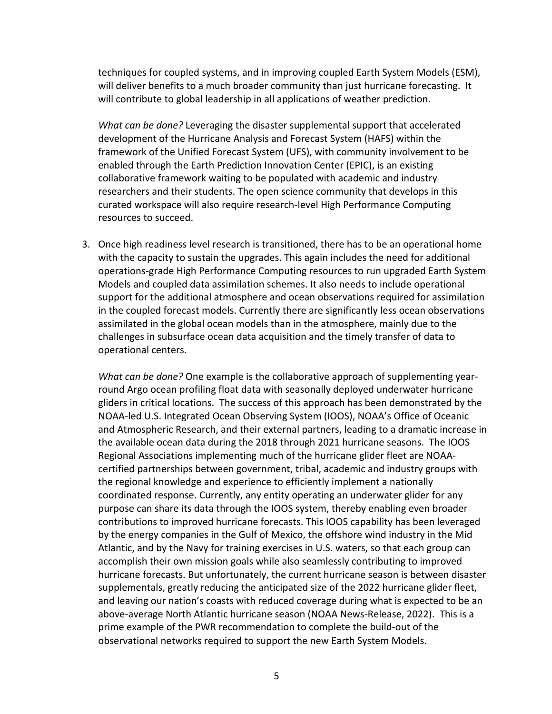techniques for coupled systems, and in improving coupled Earth System Models (ESM), will deliver benefits to a much broader community than just hurricane forecasting. It will contribute to global leadership in all applications of weather prediction.

*What can be done?* Leveraging the disaster supplemental support that accelerated development of the Hurricane Analysis and Forecast System (HAFS) within the framework of the Unified Forecast System (UFS), with community involvement to be enabled through the Earth Prediction Innovation Center (EPIC), is an existing collaborative framework waiting to be populated with academic and industry researchers and their students. The open science community that develops in this curated workspace will also require research-level High Performance Computing resources to succeed.

3. Once high readiness level research is transitioned, there has to be an operational home with the capacity to sustain the upgrades. This again includes the need for additional operations-grade High Performance Computing resources to run upgraded Earth System Models and coupled data assimilation schemes. It also needs to include operational support for the additional atmosphere and ocean observations required for assimilation in the coupled forecast models. Currently there are significantly less ocean observations assimilated in the global ocean models than in the atmosphere, mainly due to the challenges in subsurface ocean data acquisition and the timely transfer of data to operational centers.

*What can be done?* One example is the collaborative approach of supplementing yearround Argo ocean profiling float data with seasonally deployed underwater hurricane gliders in critical locations. The success of this approach has been demonstrated by the NOAA-led U.S. Integrated Ocean Observing System (IOOS), NOAA's Office of Oceanic and Atmospheric Research, and their external partners, leading to a dramatic increase in the available ocean data during the 2018 through 2021 hurricane seasons. The IOOS Regional Associations implementing much of the hurricane glider fleet are NOAAcertified partnerships between government, tribal, academic and industry groups with the regional knowledge and experience to efficiently implement a nationally coordinated response. Currently, any entity operating an underwater glider for any purpose can share its data through the IOOS system, thereby enabling even broader contributions to improved hurricane forecasts. This IOOS capability has been leveraged by the energy companies in the Gulf of Mexico, the offshore wind industry in the Mid Atlantic, and by the Navy for training exercises in U.S. waters, so that each group can accomplish their own mission goals while also seamlessly contributing to improved hurricane forecasts. But unfortunately, the current hurricane season is between disaster supplementals, greatly reducing the anticipated size of the 2022 hurricane glider fleet, and leaving our nation's coasts with reduced coverage during what is expected to be an above-average North Atlantic hurricane season (NOAA News-Release, 2022). This is a prime example of the PWR recommendation to complete the build-out of the observational networks required to support the new Earth System Models.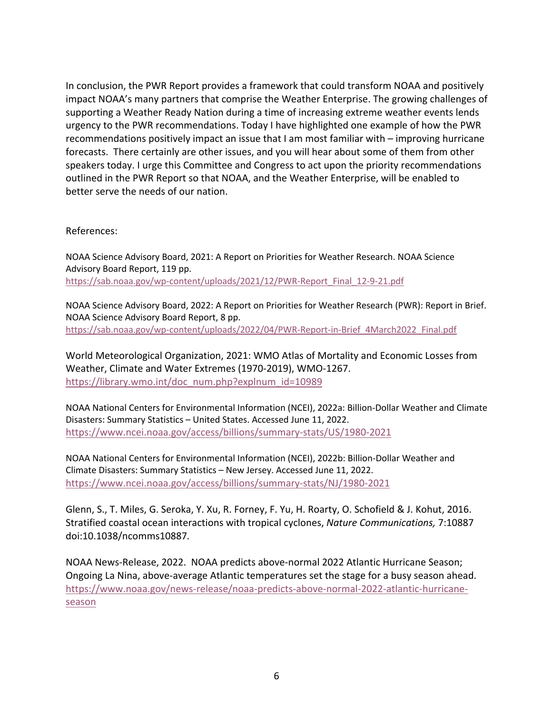In conclusion, the PWR Report provides a framework that could transform NOAA and positively impact NOAA's many partners that comprise the Weather Enterprise. The growing challenges of supporting a Weather Ready Nation during a time of increasing extreme weather events lends urgency to the PWR recommendations. Today I have highlighted one example of how the PWR recommendations positively impact an issue that I am most familiar with – improving hurricane forecasts. There certainly are other issues, and you will hear about some of them from other speakers today. I urge this Committee and Congress to act upon the priority recommendations outlined in the PWR Report so that NOAA, and the Weather Enterprise, will be enabled to better serve the needs of our nation.

References:

NOAA Science Advisory Board, 2021: A Report on Priorities for Weather Research. NOAA Science Advisory Board Report, 119 pp. https://sab.noaa.gov/wp-content/uploads/2021/12/PWR-Report\_Final\_12-9-21.pdf

NOAA Science Advisory Board, 2022: A Report on Priorities for Weather Research (PWR): Report in Brief. NOAA Science Advisory Board Report, 8 pp. https://sab.noaa.gov/wp-content/uploads/2022/04/PWR-Report-in-Brief\_4March2022\_Final.pdf

World Meteorological Organization, 2021: WMO Atlas of Mortality and Economic Losses from Weather, Climate and Water Extremes (1970-2019), WMO-1267. https://library.wmo.int/doc\_num.php?explnum\_id=10989

NOAA National Centers for Environmental Information (NCEI), 2022a: Billion-Dollar Weather and Climate Disasters: Summary Statistics – United States. Accessed June 11, 2022. https://www.ncei.noaa.gov/access/billions/summary-stats/US/1980-2021

NOAA National Centers for Environmental Information (NCEI), 2022b: Billion-Dollar Weather and Climate Disasters: Summary Statistics – New Jersey. Accessed June 11, 2022. https://www.ncei.noaa.gov/access/billions/summary-stats/NJ/1980-2021

Glenn, S., T. Miles, G. Seroka, Y. Xu, R. Forney, F. Yu, H. Roarty, O. Schofield & J. Kohut, 2016. Stratified coastal ocean interactions with tropical cyclones, *Nature Communications,* 7:10887 doi:10.1038/ncomms10887*.*

NOAA News-Release, 2022. NOAA predicts above-normal 2022 Atlantic Hurricane Season; Ongoing La Nina, above-average Atlantic temperatures set the stage for a busy season ahead. https://www.noaa.gov/news-release/noaa-predicts-above-normal-2022-atlantic-hurricaneseason